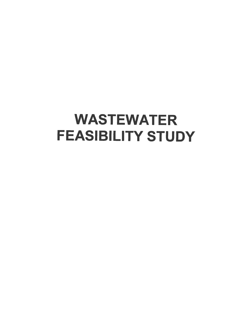# **WASTEWATER FEASIBILITY STUDY**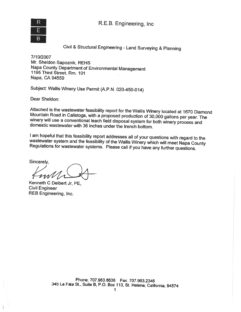R.E.B. Engineering, Inc



Civil & Structural Engineering -Land Surveying & Planning

7/10/2007 Mr. Sheldon Sapoznik, REHS Napa County Department of Environmental Management <sup>1195</sup> Third Street, Rm. <sup>101</sup> Napa, CA 94559

Subject: Wallis Winery Use Permit (A.P.N. 020-450-014)

Dear Sheldon:

Attached is the wastewater feasibility report for the Wallis Winery located at 1670 Diamond Mountain Road in Calistoga, with a proposed production of 30,000 gallons per year. The winery will use a conventional leach field

I am hopeful that this feasibility report addresses all of your questions with regard to the wastewater system and the feasibility of the Wallis Winery which will meet Napa County Regulations for wastewater systems. Please

Sincerely.

Kenneth <sup>C</sup> Deibert Jr, PE, Civil Engineer REB Engineering, Inc.

Phone; 707.963.8638 Fax; 707.963.2346 <sup>345</sup> La Fata St., Suite B, P.O. Box 113, St. Helena, California, <sup>94574</sup>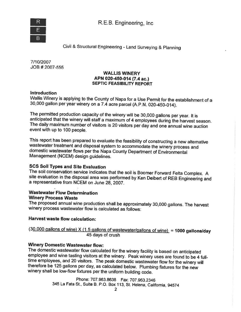

Civil & Structural Engineering -Land Surveying & Planning

7/10/2007 JOB # 2007-555

#### WALLIS WINERY APN 020-450-014 (7.4 ac.) SEPTIC FEASIBILITY REPORT

#### **Introduction**

Wallis Winery is applying to the County of Napa for <sup>a</sup> Use Permit for the establishment of <sup>a</sup> 30,000 gallon per year winery on <sup>a</sup> 7.4 acre parcel (A.P.N. 020-450-0 14).

The permitted production capacity of the winery will be 30,000 gallons per year. It is anticipated that the winery will staff a maximum of 4 employees during the harvest season.<br>The daily maximum number of visitors is 20 v event with up to 100 people.

This report has been prepared to evaluate the feasibility of constructing <sup>a</sup> new alternative domestic wastewater flows per the Napa County Department of Environmental<br>Management (NCEM) design guidelines.

SCS Soil Types and Site Evaluation<br>The soil conservation service indicates that the soil is Boomer Forward Felta Complex. A site evaluation in the disposal area was performed by Ken Deibert of REB Engineering and <sup>a</sup> representative from NCEM on June 28, 2007.

### Wastewater Flow Determination Winery Process Waste

The proposed annual wine production shall be approximately 30,000 gallons. The harvest winery process wastewater flow is calculated as follows:

#### Harvest waste flow calculation:

 $(30,000$  gallons of wine) X (1.5 gallons of wastewater/gallons of wine) = 1000 gallons/day<br>45 days of crush

### Winery Domestic Wastewater flow:

The domestic wastewater flow calculated for the winery facility is based on anticipated<br>employee and wine tasting visitors at the winery. Peak winery uses are found to be 4 fulltime employees, and 20 visitors. The peak domestic wastewater flow for the winery will therefore be 125 gallons per day, as calculated below. Plumbing fixtures for the new winery shall be low-flow fixtures per the uniform

> Phone: 707.963.8638 Fax: 707.963.2346 <sup>345</sup> La Fata St., Suite B. P.O. Box 113, St. Helena, California, <sup>94574</sup>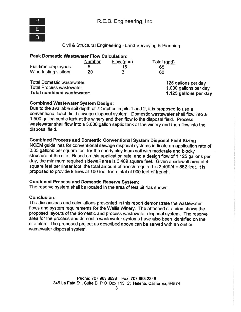

#### Civil & Structural Engineering - Land Surveying & Planning

| <b>Peak Domestic Wastewater Flow Calculation:</b> |               |            |             |  |  |  |  |  |
|---------------------------------------------------|---------------|------------|-------------|--|--|--|--|--|
|                                                   | <b>Number</b> | Flow (gpd) | Total (gpd) |  |  |  |  |  |
| Full-time employees:                              | 5             | 15         | 65          |  |  |  |  |  |
| Wine tasting visitors:                            | 20            |            | 60          |  |  |  |  |  |

Total Domestic wastewater:<br>
Total Process wastewater:<br>
1.000 gallons per day<br>
1.000 gallons per day Total Process wastewater: 1,000 gallons per day

1,125 gallons per day

#### **Combined Wastewater System Design:**

Due to the available soil depth of <sup>72</sup> inches in <sup>p</sup>its <sup>I</sup> and 2, it is proposed to use <sup>a</sup> conventional leach field sewage disposal system. Domestic wastewater shall flow into <sup>a</sup> 1,500 gallon septic tank at the winery and then flow to the disposal field. Process wastewater shall flow into <sup>a</sup> 3,000 gallon septic tank at the winery and then flow into the disposal field.

#### Combined Process and Domestic Conventional System Disposal Field Sizing

NCEM guidelines for conventional sewage disposal systems indicate an application rate of 0.33 gallons per square foot for the sandy clay loam soil with moderate and blocky structure at the site. Based on this application rate, and <sup>a</sup> design flow of 1,125 gallons per day, the minimum required sidewall area is 3,409 square feet. Given <sup>a</sup> sidewall area of <sup>4</sup> square feet per linear foot, the total amount of trench required is  $3,409/4 = 852$  feet. It is proposed to provide 9 lines at 100 feet for <sup>a</sup> total of 900 feet of trench.

#### Combined Process and Domestic Reserve System:

The reserve system shall be located in the area of test <sup>p</sup>it las shown.

#### Conclusion:

The discussions and calculations presented in this report demonstrate the wastewater flows and system requirements for the Wallis Winery. The attached site <sup>p</sup>lan shows the proposed layouts of the domestic and process wastewater disposal system. The reserve area for the process and domestic wastewater systems have also been identified on the site plan. The proposed project as described above can be served with an onsite wastewater disposal system.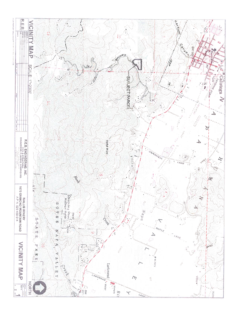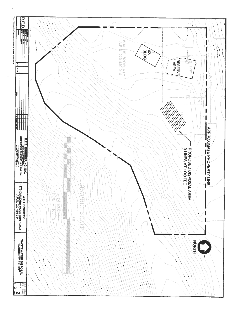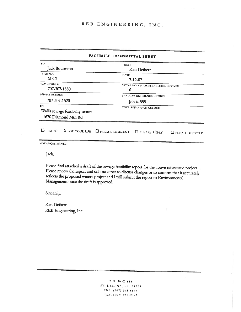#### FACSIMILE TRANSMITTAL SHEET

| TO:                              | <b>FROM:</b>                                                                |  |  |  |  |  |  |
|----------------------------------|-----------------------------------------------------------------------------|--|--|--|--|--|--|
| Jack Boureston                   | Ken Deibert                                                                 |  |  |  |  |  |  |
| COMPANY:                         | DATE:                                                                       |  |  |  |  |  |  |
| MK2                              | $7 - 12 - 07$                                                               |  |  |  |  |  |  |
| <b>FAX NUMBER:</b>               | TOTAL NO. OF PAGES INCLUDING COVER:                                         |  |  |  |  |  |  |
| 707-307-1550                     | 6                                                                           |  |  |  |  |  |  |
| PHONE NUMBER:                    | SENDER'S REFERENCE NUMBER:                                                  |  |  |  |  |  |  |
| 707-307-1520                     | Job # 555                                                                   |  |  |  |  |  |  |
| RE:                              | YOUR REFERENCE NUMBER:                                                      |  |  |  |  |  |  |
| Wallis sewage feasibility report |                                                                             |  |  |  |  |  |  |
| 1670 Diamond Mtn Rd              |                                                                             |  |  |  |  |  |  |
|                                  |                                                                             |  |  |  |  |  |  |
| <b>CURGENT</b><br>X FOR YOUR USE | <b>E PLEASE COMMENT</b><br><b>EFPLEASE REPLY</b><br><b>E PLEASE RECYCLE</b> |  |  |  |  |  |  |

NOTES/COMMENTS:

Jack,

Please find attached a draft of the sewage feasibility report for the above referenced project. Please review the report and call me either to discuss changes or to confirm that it accurately reflects the proposed winery project and I will submit the report to Environmental Management once the draft is approved.

Sincerely,

Ken Deibert REB Engineering, Inc.

> P.O. BOX 113 ST. HELENA, CA 94573 TEL: (707) 963-8638 FAX: (707) 963-2346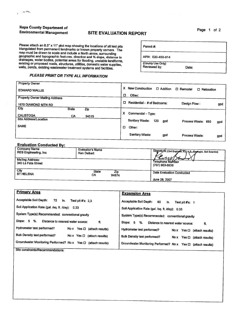## Napa County Department of Page 1 of 2<br>
Environmental Management SITE EVALUATION REPORT

 $\mathcal{L}^{(1)}$  , we obtain

Please attach an 8.5" x 11" plot map showing the locations of all test pits<br>
triangulated from permanent landmarks or known property corners. The<br>
map must be drawn to scale and include a North arrow, surrounding<br>
geograph geographic and topographic features, direction and % slope, distance to<br>drainages, water bodies, potential areas for flooding, unstable landforms,<br>existing or proposed roads, structures, utilities, domestic water supplies,

#### PLEASE PRINT OR TYPE ALL INFORMATION

| <b>Property Owner</b>                 |                                                                         |     |
|---------------------------------------|-------------------------------------------------------------------------|-----|
| <b>EDWARD WALLIS</b>                  | x<br><b>New Construction</b><br>D Addition<br>D Remodel<br>D Relocation |     |
|                                       | O<br>Other:                                                             |     |
| <b>Property Owner Mailing Address</b> |                                                                         |     |
| 1670 DIAMOND MTN RD                   | Residential - # of Bedrooms:<br>□<br>Design Flow:                       | gpd |
| <b>City</b><br><b>State</b><br>Zip    |                                                                         |     |
| <b>CALISTOGA</b><br>CA<br>94515       | χ<br>Commercial - Type:                                                 |     |
| Site Address/Location                 | Sanitary Waste:<br>120<br>gpd<br>Process Waste: 650                     | gpd |
| <b>SAME</b>                           | o<br>Other:                                                             |     |
|                                       | Sanitary Waste:<br>gpd<br>Process Waste:                                | gpd |

#### Evaluation Conducted By:

| <b>Company Name</b><br>REB Engineering, inc | <b>Evaluator's Name</b><br>Ken Deibert | Signature (Civil Engineer, R.E.H.S., Georogist, Soil Scientist)<br>ENMI |
|---------------------------------------------|----------------------------------------|-------------------------------------------------------------------------|
| Malling Address:<br>345 La Fata Street      |                                        | Telephone Number<br>(707) 963-8638                                      |
| City<br><b>ST HELENA</b>                    | <b>State</b><br>Zip<br>CA<br>94574     | Date Evaluation Conducted<br>June 28, 2007                              |

| <b>Primary Area</b>                                                     | <b>Expansion Area</b>                                              |
|-------------------------------------------------------------------------|--------------------------------------------------------------------|
| Acceptable Soil Depth:<br>72<br>in.<br>Test plt $#s: 2.3$               | Acceptable Soli Depth:<br>60<br>in.<br>Test pit $#s$ : 1           |
| Soil Application Rate (gal. /sq. ft. /day): 0.33                        | Soli Application Rate (gal. /sq. ft. /day): 0.33                   |
| System Type(s) Recommended: conventional gravity                        | System Type(s) Recommended: conventional gravity                   |
| Slope: 5<br>%.<br>Distance to nearest water source:<br>ft.              | Slope: 5<br>%.<br>Distance to nearest water source:<br>ft.         |
| Hydrometer test performed?<br>No $x$ Yes $\Box$ (attach results)        | Hydrometer test performed?<br>No x Yes $\Box$ (attach results)     |
| Bulk Density test performed?<br>No $\times$ Yes $\Box$ (attach results) | Buik Density test performed?<br>No $x$ Yes $\Box$ (attach results) |
| Groundwater Monitoring Performed? No x Yes D<br>(attach results)        | Groundwater Monitoring Performed? No x Yes Q (attach results)      |
| Site constraints/Recommendations:                                       |                                                                    |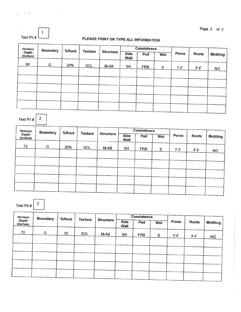| Test Pit # |  |
|------------|--|

,  $\mathcal{L}_1$ 

### PLEASE PRINT OR TYPE ALL INFORMATION

| Horizon<br><b>Boundary</b><br>Depth<br>(Inches) | %Rock |     | <b>Texture</b><br><b>Structure</b> |                     | <b>Consistence</b> |            |              |       |                 |           |
|-------------------------------------------------|-------|-----|------------------------------------|---------------------|--------------------|------------|--------------|-------|-----------------|-----------|
|                                                 |       |     |                                    | Side<br><b>Wall</b> | Ped                | Wet        | Pores        | Roots | <b>Mottling</b> |           |
| 60                                              | G     | 30% | <b>SCL</b>                         | M-AB                | <b>SH</b>          | <b>FRB</b> | <sub>S</sub> | F-F   | $F-F$           | <b>NO</b> |
|                                                 |       |     |                                    |                     |                    |            |              |       |                 |           |
|                                                 |       |     |                                    |                     |                    |            |              |       |                 |           |
|                                                 |       |     |                                    |                     |                    |            |              |       |                 |           |
|                                                 |       |     |                                    |                     |                    |            |              |       |                 |           |
|                                                 |       |     |                                    |                     |                    |            |              |       |                 |           |
|                                                 |       |     |                                    |                     |                    |            |              |       |                 |           |
|                                                 |       |     |                                    |                     |                    |            |              |       |                 |           |

| Horizon<br><b>Boundary</b><br>%Rock |                                |                  | <b>Consistence</b>         |        |           |            |              |          |       |           |
|-------------------------------------|--------------------------------|------------------|----------------------------|--------|-----------|------------|--------------|----------|-------|-----------|
| (Inches)                            | <b>Texture</b><br><b>Depth</b> | <b>Structure</b> | <b>Side</b><br><b>Wall</b> | Ped    | Wet       | Pores      | <b>Roots</b> | Mottling |       |           |
| 72                                  | G                              | 20%              | <b>SCL</b>                 | $M-AB$ | <b>SH</b> | <b>FRB</b> | ${\sf S}$    | $F-F$    | $F-F$ | <b>NO</b> |
|                                     |                                |                  |                            |        |           |            |              |          |       |           |
|                                     |                                |                  |                            |        |           |            |              |          |       |           |
|                                     |                                |                  |                            |        |           |            |              |          |       |           |
|                                     |                                |                  |                            |        |           |            |              |          |       |           |
|                                     |                                |                  |                            |        |           |            |              |          |       |           |
|                                     |                                |                  |                            |        |           |            |              |          |       |           |

Test Pit #  $\Big| 3$ 

Test Pit  $\#$   $\boxed{2}$ 

 $\overline{\phantom{a}}$ 

| Horizon                  | <b>Boundary</b><br>%Rock |                |                  |                            | <b>Consistence</b> |            |       |       |                 |           |
|--------------------------|--------------------------|----------------|------------------|----------------------------|--------------------|------------|-------|-------|-----------------|-----------|
| <b>Depth</b><br>(tnches) |                          | <b>Texture</b> | <b>Structure</b> | <b>Side</b><br><b>Wall</b> | Ped                | Wet        | Pores | Roots | <b>Mottling</b> |           |
| 72                       | G                        | 10             | <b>SCL</b>       | M-AB                       | <b>SH</b>          | <b>FRB</b> | S     | F-F   | $F-F$           | <b>NO</b> |
|                          |                          |                |                  |                            |                    |            |       |       |                 |           |
|                          |                          |                |                  |                            |                    |            |       |       |                 |           |
|                          |                          |                |                  |                            |                    |            |       |       |                 |           |
|                          |                          |                |                  |                            |                    |            |       |       |                 |           |
|                          |                          |                |                  |                            |                    |            |       |       |                 |           |

Page 2 of 2